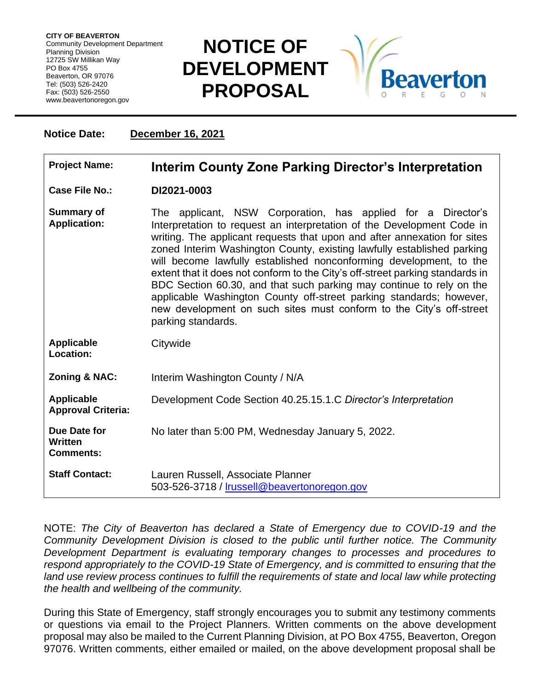**CITY OF BEAVERTON** Community Development Department Planning Division 12725 SW Millikan Way PO Box 4755 Beaverton, OR 97076 Tel: (503) 526-2420 Fax: (503) 526-2550 www.beavertonoregon.gov

## **NOTICE OF DEVELOPMENT PROPOSAL**



## **Notice Date: December 16, 2021 Project Name: Interim County Zone Parking Director's Interpretation Case File No.: DI2021-0003 Summary of Application:** The applicant, NSW Corporation, has applied for a Director's Interpretation to request an interpretation of the Development Code in writing. The applicant requests that upon and after annexation for sites zoned Interim Washington County, existing lawfully established parking will become lawfully established nonconforming development, to the extent that it does not conform to the City's off-street parking standards in BDC Section 60.30, and that such parking may continue to rely on the applicable Washington County off-street parking standards; however, new development on such sites must conform to the City's off-street parking standards. **Applicable Location: Citywide Zoning & NAC:** Interim Washington County / N/A **Applicable Approval Criteria:** Development Code Section 40.25.15.1.C *Director's Interpretation* **Due Date for Written Comments:** No later than 5:00 PM, Wednesday January 5, 2022. **Staff Contact:** Lauren Russell, Associate Planner 503-526-3718 / [lrussell@beavertonoregon.gov](mailto:lrussell@beavertonoregon.gov)

NOTE: *The City of Beaverton has declared a State of Emergency due to COVID-19 and the Community Development Division is closed to the public until further notice. The Community Development Department is evaluating temporary changes to processes and procedures to respond appropriately to the COVID-19 State of Emergency, and is committed to ensuring that the land use review process continues to fulfill the requirements of state and local law while protecting the health and wellbeing of the community.*

During this State of Emergency, staff strongly encourages you to submit any testimony comments or questions via email to the Project Planners. Written comments on the above development proposal may also be mailed to the Current Planning Division, at PO Box 4755, Beaverton, Oregon 97076. Written comments, either emailed or mailed, on the above development proposal shall be